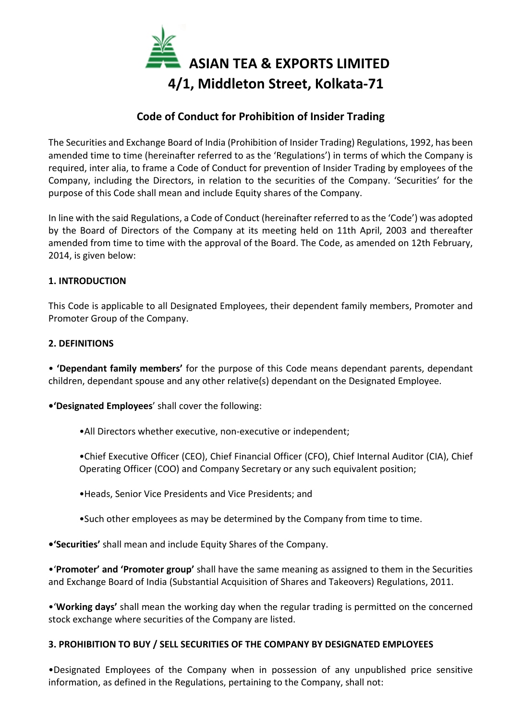

# Code of Conduct for Prohibition of Insider Trading

The Securities and Exchange Board of India (Prohibition of Insider Trading) Regulations, 1992, has been amended time to time (hereinafter referred to as the 'Regulations') in terms of which the Company is required, inter alia, to frame a Code of Conduct for prevention of Insider Trading by employees of the Company, including the Directors, in relation to the securities of the Company. 'Securities' for the purpose of this Code shall mean and include Equity shares of the Company.

In line with the said Regulations, a Code of Conduct (hereinafter referred to as the 'Code') was adopted by the Board of Directors of the Company at its meeting held on 11th April, 2003 and thereafter amended from time to time with the approval of the Board. The Code, as amended on 12th February, 2014, is given below:

### 1. INTRODUCTION

This Code is applicable to all Designated Employees, their dependent family members, Promoter and Promoter Group of the Company.

#### 2. DEFINITIONS

• 'Dependant family members' for the purpose of this Code means dependant parents, dependant children, dependant spouse and any other relative(s) dependant on the Designated Employee.

•'Designated Employees' shall cover the following:

- •All Directors whether executive, non-executive or independent;
- •Chief Executive Officer (CEO), Chief Financial Officer (CFO), Chief Internal Auditor (CIA), Chief Operating Officer (COO) and Company Secretary or any such equivalent position;
- •Heads, Senior Vice Presidents and Vice Presidents; and
- •Such other employees as may be determined by the Company from time to time.

•'Securities' shall mean and include Equity Shares of the Company.

•'Promoter' and 'Promoter group' shall have the same meaning as assigned to them in the Securities and Exchange Board of India (Substantial Acquisition of Shares and Takeovers) Regulations, 2011.

•'Working days' shall mean the working day when the regular trading is permitted on the concerned stock exchange where securities of the Company are listed.

#### 3. PROHIBITION TO BUY / SELL SECURITIES OF THE COMPANY BY DESIGNATED EMPLOYEES

•Designated Employees of the Company when in possession of any unpublished price sensitive information, as defined in the Regulations, pertaining to the Company, shall not: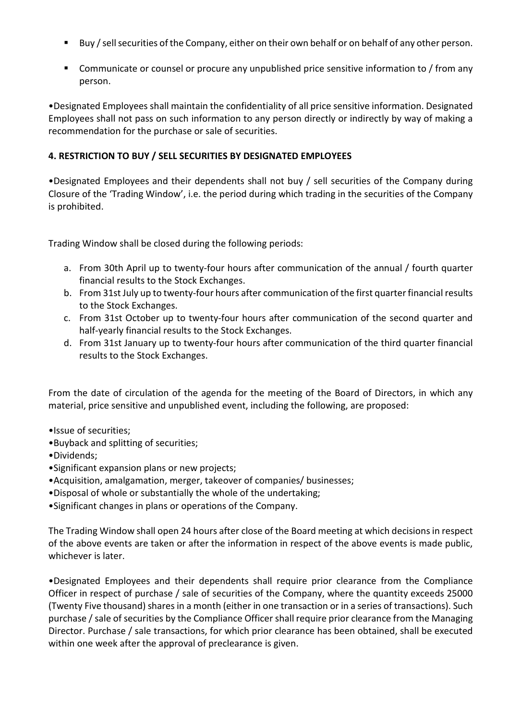- Buy / sell securities of the Company, either on their own behalf or on behalf of any other person.
- Communicate or counsel or procure any unpublished price sensitive information to / from any person.

•Designated Employees shall maintain the confidentiality of all price sensitive information. Designated Employees shall not pass on such information to any person directly or indirectly by way of making a recommendation for the purchase or sale of securities.

## 4. RESTRICTION TO BUY / SELL SECURITIES BY DESIGNATED EMPLOYEES

•Designated Employees and their dependents shall not buy / sell securities of the Company during Closure of the 'Trading Window', i.e. the period during which trading in the securities of the Company is prohibited.

Trading Window shall be closed during the following periods:

- a. From 30th April up to twenty-four hours after communication of the annual / fourth quarter financial results to the Stock Exchanges.
- b. From 31st July up to twenty-four hours after communication of the first quarter financial results to the Stock Exchanges.
- c. From 31st October up to twenty-four hours after communication of the second quarter and half-yearly financial results to the Stock Exchanges.
- d. From 31st January up to twenty-four hours after communication of the third quarter financial results to the Stock Exchanges.

From the date of circulation of the agenda for the meeting of the Board of Directors, in which any material, price sensitive and unpublished event, including the following, are proposed:

- •Issue of securities;
- •Buyback and splitting of securities;
- •Dividends;
- •Significant expansion plans or new projects;
- •Acquisition, amalgamation, merger, takeover of companies/ businesses;
- •Disposal of whole or substantially the whole of the undertaking;
- •Significant changes in plans or operations of the Company.

The Trading Window shall open 24 hours after close of the Board meeting at which decisions in respect of the above events are taken or after the information in respect of the above events is made public, whichever is later.

•Designated Employees and their dependents shall require prior clearance from the Compliance Officer in respect of purchase / sale of securities of the Company, where the quantity exceeds 25000 (Twenty Five thousand) shares in a month (either in one transaction or in a series of transactions). Such purchase / sale of securities by the Compliance Officer shall require prior clearance from the Managing Director. Purchase / sale transactions, for which prior clearance has been obtained, shall be executed within one week after the approval of preclearance is given.